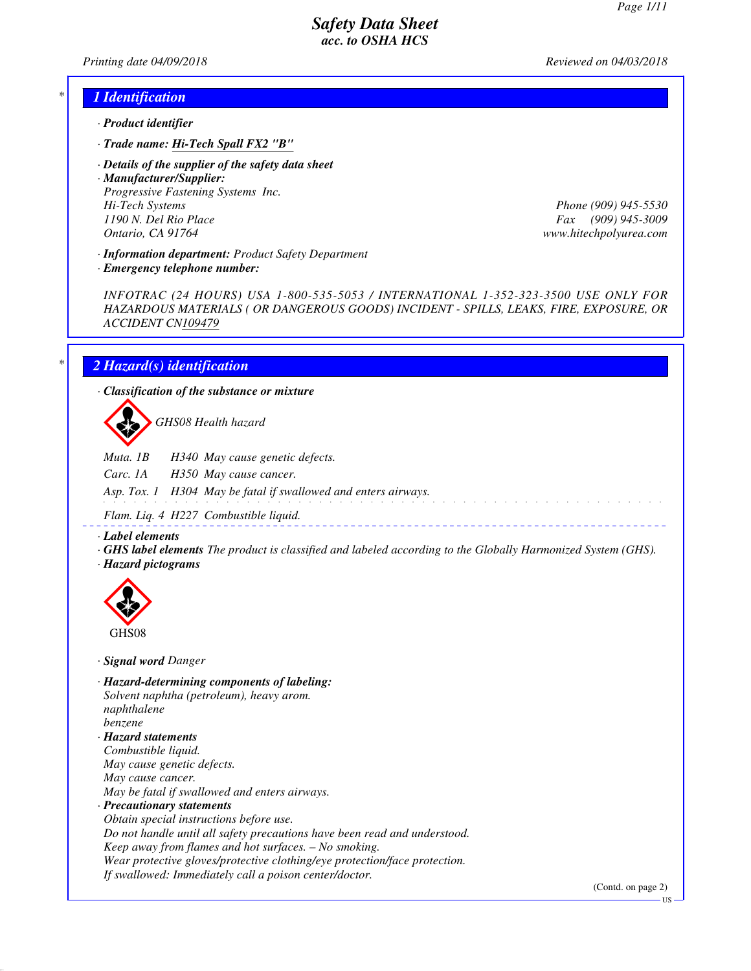*Printing date 04/09/2018 Reviewed on 04/03/2018*

### *\* 1 Identification*

- *· Product identifier*
- *· Trade name: Hi-Tech Spall FX2 "B"*
- *· Details of the supplier of the safety data sheet*

*· Manufacturer/Supplier: Progressive Fastening Systems Inc. Hi-Tech Systems Phone (909) 945-5530 1190 N. Del Rio Place Fax (909) 945-3009 Ontario, CA 91764 www.hitechpolyurea.com*

*· Information department: Product Safety Department*

*· Emergency telephone number:*

*INFOTRAC (24 HOURS) USA 1-800-535-5053 / INTERNATIONAL 1-352-323-3500 USE ONLY FOR HAZARDOUS MATERIALS ( OR DANGEROUS GOODS) INCIDENT - SPILLS, LEAKS, FIRE, EXPOSURE, OR ACCIDENT CN109479*

# *\* 2 Hazard(s) identification*

*· Classification of the substance or mixture*

d~*GHS08 Health hazard*

*Muta. 1B H340 May cause genetic defects.*

*Carc. 1A H350 May cause cancer.*

*Asp. Tox. 1 H304 May be fatal if swallowed and enters airways.*

*Flam. Liq. 4 H227 Combustible liquid.*

*· Label elements*

- *· GHS label elements The product is classified and labeled according to the Globally Harmonized System (GHS).*
- *· Hazard pictograms*



*· Signal word Danger*

*· Hazard-determining components of labeling: Solvent naphtha (petroleum), heavy arom. naphthalene benzene · Hazard statements Combustible liquid. May cause genetic defects. May cause cancer. May be fatal if swallowed and enters airways. · Precautionary statements Obtain special instructions before use. Do not handle until all safety precautions have been read and understood. Keep away from flames and hot surfaces. – No smoking. Wear protective gloves/protective clothing/eye protection/face protection. If swallowed: Immediately call a poison center/doctor.*

(Contd. on page 2)

US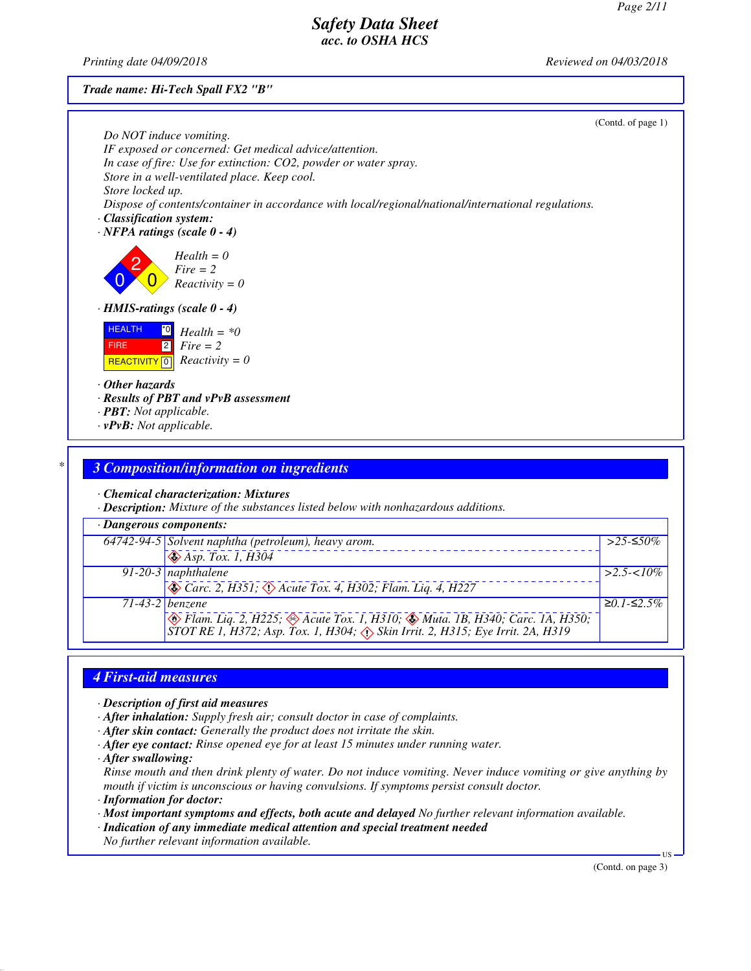*Printing date 04/09/2018 Reviewed on 04/03/2018*

*Trade name: Hi-Tech Spall FX2 "B"*

|                                                                                                     | (Contd. of page 1) |
|-----------------------------------------------------------------------------------------------------|--------------------|
| Do NOT induce vomiting.<br>IF exposed or concerned: Get medical advice/attention.                   |                    |
| In case of fire: Use for extinction: CO2, powder or water spray.                                    |                    |
| Store in a well-ventilated place. Keep cool.                                                        |                    |
| Store locked up.                                                                                    |                    |
| Dispose of contents/container in accordance with local/regional/national/international regulations. |                    |
| $\cdot$ Classification system:                                                                      |                    |
| $\cdot$ NFPA ratings (scale 0 - 4)                                                                  |                    |
| $Health = 0$<br>$Fire = 2$<br>$Reactivity = 0$                                                      |                    |
| $\cdot$ HMIS-ratings (scale $0 - 4$ )                                                               |                    |
| <b>HEALTH</b><br>$^*0$<br>$Health = *0$                                                             |                    |
| 2 <br>$Fire = 2$<br><b>FIRE</b>                                                                     |                    |
| $Reactivity = 0$<br><b>REACTIVITY</b> 0                                                             |                    |
| $\cdot$ Other hazards                                                                               |                    |
| $\cdot$ Results of PBT and $vPvB$ assessment                                                        |                    |
| $\cdot$ <b>PBT:</b> Not applicable.                                                                 |                    |
| $\cdot v$ PvB: Not applicable.                                                                      |                    |
|                                                                                                     |                    |

# *\* 3 Composition/information on ingredients*

*· Chemical characterization: Mixtures*

*· Description: Mixture of the substances listed below with nonhazardous additions.*

| · Dangerous components: |                                                                                                                                                            |                  |  |
|-------------------------|------------------------------------------------------------------------------------------------------------------------------------------------------------|------------------|--|
|                         | 64742-94-5 Solvent naphtha (petroleum), heavy arom.                                                                                                        | >25-≤50%         |  |
|                         | $\sqrt{\text{Asp. Tox. }1, H304}$                                                                                                                          |                  |  |
|                         | $91-20-3$ naphthalene                                                                                                                                      | $>2.5 < 10\%$    |  |
|                         | $\otimes$ Carc. 2, H351; $\otimes$ Acute Tox. 4, H302; Flam. Liq. 4, H227                                                                                  |                  |  |
|                         | $71-43-2$ benzene                                                                                                                                          | $≥0.1$ - $≤2.5%$ |  |
|                         | Flam. Liq. 2, H225; Acute Tox. 1, H310; AMuta. 1B, H340; Carc. 1A, H350;<br>STOT RE 1, H372; Asp. Tox. 1, H304; A Skin Irrit. 2, H315; Eye Irrit. 2A, H319 |                  |  |

# *4 First-aid measures*

*· Description of first aid measures*

- *· After inhalation: Supply fresh air; consult doctor in case of complaints.*
- *· After skin contact: Generally the product does not irritate the skin.*
- *· After eye contact: Rinse opened eye for at least 15 minutes under running water.*

*· After swallowing:*

*Rinse mouth and then drink plenty of water. Do not induce vomiting. Never induce vomiting or give anything by mouth if victim is unconscious or having convulsions. If symptoms persist consult doctor.*

*· Information for doctor:*

*· Most important symptoms and effects, both acute and delayed No further relevant information available.*

*· Indication of any immediate medical attention and special treatment needed*

*No further relevant information available.*

(Contd. on page 3)

US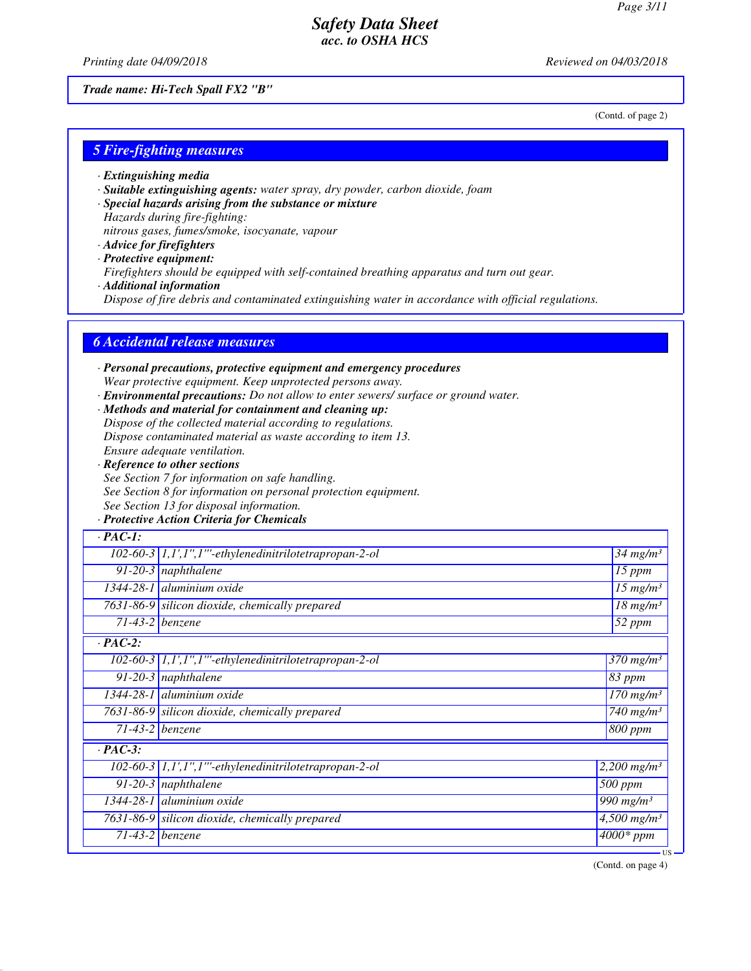(Contd. of page 2)

# *Safety Data Sheet acc. to OSHA HCS*

*Printing date 04/09/2018 Reviewed on 04/03/2018*

*Trade name: Hi-Tech Spall FX2 "B"*

*5 Fire-fighting measures*

- *· Extinguishing media*
- *· Suitable extinguishing agents: water spray, dry powder, carbon dioxide, foam*
- *· Special hazards arising from the substance or mixture Hazards during fire-fighting:*
- *nitrous gases, fumes/smoke, isocyanate, vapour*
- *· Advice for firefighters · Protective equipment: Firefighters should be equipped with self-contained breathing apparatus and turn out gear.*
- *· Additional information Dispose of fire debris and contaminated extinguishing water in accordance with official regulations.*

### *6 Accidental release measures*

*· Personal precautions, protective equipment and emergency procedures Wear protective equipment. Keep unprotected persons away. · Environmental precautions: Do not allow to enter sewers/ surface or ground water. · Methods and material for containment and cleaning up: Dispose of the collected material according to regulations. Dispose contaminated material as waste according to item 13. Ensure adequate ventilation. · Reference to other sections See Section 7 for information on safe handling. See Section 8 for information on personal protection equipment. See Section 13 for disposal information. · Protective Action Criteria for Chemicals · PAC-1: 102-60-3 1,1',1'',1'''-ethylenedinitrilotetrapropan-2-ol 34 mg/m³ 91-20-3 naphthalene 15 ppm 1344-28-1 aluminium oxide 15 mg/m³ 7631-86-9 silicon dioxide, chemically prepared 18 mg/m³ 71-43-2 benzene 52 ppm · PAC-2: 102-60-3 1,1',1'',1'''-ethylenedinitrilotetrapropan-2-ol 370 mg/m³ 91-20-3 naphthalene 83 ppm 1344-28-1 aluminium oxide 170 mg/m³ 7631-86-9 silicon dioxide, chemically prepared 740 mg/m³ 71-43-2 benzene 800 ppm · PAC-3: 102-60-3 1,1',1'',1'''-ethylenedinitrilotetrapropan-2-ol 2,200 mg/m³ 91-20-3 naphthalene 500 ppm 1344-28-1 aluminium oxide 990 mg/m³ 7631-86-9 silicon dioxide, chemically prepared 4,500 mg/m³*

*71-43-2 benzene 4000\* ppm*

(Contd. on page 4)

US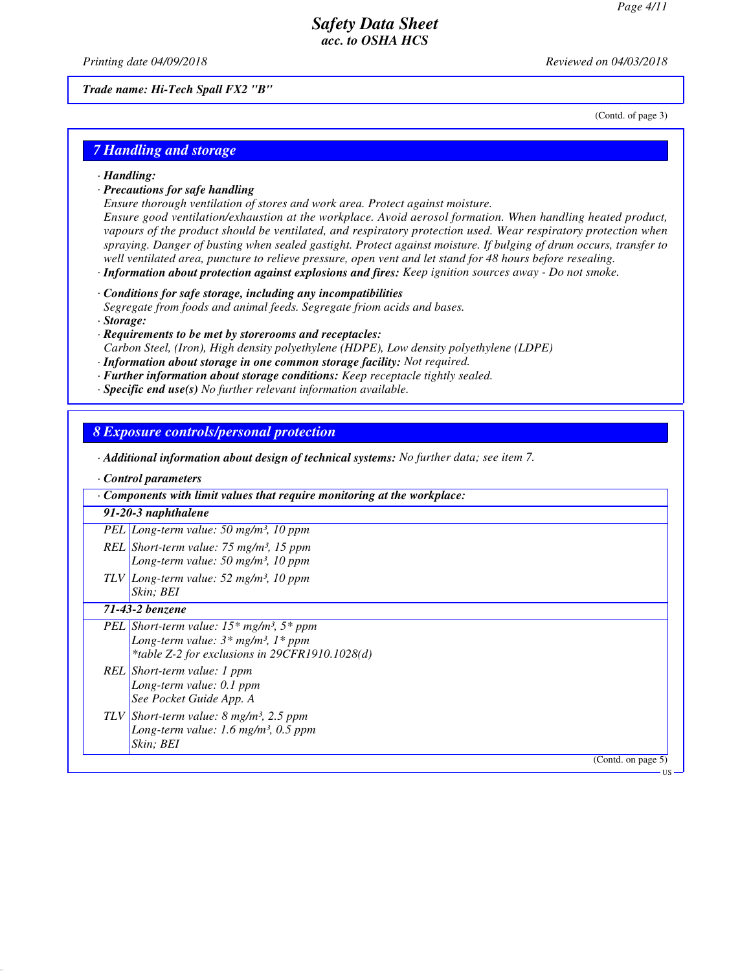*Printing date 04/09/2018 Reviewed on 04/03/2018*

*Trade name: Hi-Tech Spall FX2 "B"*

(Contd. of page 3)

### *7 Handling and storage*

*· Handling:*

#### *· Precautions for safe handling*

*Ensure thorough ventilation of stores and work area. Protect against moisture. Ensure good ventilation/exhaustion at the workplace. Avoid aerosol formation. When handling heated product, vapours of the product should be ventilated, and respiratory protection used. Wear respiratory protection when spraying. Danger of busting when sealed gastight. Protect against moisture. If bulging of drum occurs, transfer to well ventilated area, puncture to relieve pressure, open vent and let stand for 48 hours before resealing.*

*· Information about protection against explosions and fires: Keep ignition sources away - Do not smoke.*

*· Conditions for safe storage, including any incompatibilities*

*Segregate from foods and animal feeds. Segregate friom acids and bases. · Storage:*

*· Requirements to be met by storerooms and receptacles:*

*Carbon Steel, (Iron), High density polyethylene (HDPE), Low density polyethylene (LDPE)*

- *· Information about storage in one common storage facility: Not required.*
- *· Further information about storage conditions: Keep receptacle tightly sealed.*
- *· Specific end use(s) No further relevant information available.*

### *8 Exposure controls/personal protection*

*· Additional information about design of technical systems: No further data; see item 7.*

*· Control parameters*

| Components with limit values that require monitoring at the workplace:                                                                                                    |
|---------------------------------------------------------------------------------------------------------------------------------------------------------------------------|
| 91-20-3 naphthalene                                                                                                                                                       |
| PEL Long-term value: 50 mg/m <sup>3</sup> , 10 ppm                                                                                                                        |
| REL Short-term value: $75 \text{ mg/m}^3$ , 15 ppm<br>Long-term value: $50 \text{ mg/m}^3$ , 10 ppm                                                                       |
| $TLV$ Long-term value: 52 mg/m <sup>3</sup> , 10 ppm<br>Skin: BEI                                                                                                         |
| 71-43-2 benzene                                                                                                                                                           |
| <b>PEL</b> Short-term value: $15*$ mg/m <sup>3</sup> , $5*$ ppm<br>Long-term value: $3*$ mg/m <sup>3</sup> , $1*$ ppm<br>*table Z-2 for exclusions in $29CFR1910.1028(d)$ |
| REL Short-term value: 1 ppm<br>Long-term value: 0.1 ppm<br>See Pocket Guide App. A                                                                                        |
| TLV Short-term value: $8 \text{ mg/m}^3$ , 2.5 ppm<br>Long-term value: 1.6 mg/m <sup>3</sup> , 0.5 ppm<br>Skin; BEI                                                       |
| (Contd. on page 5)                                                                                                                                                        |
|                                                                                                                                                                           |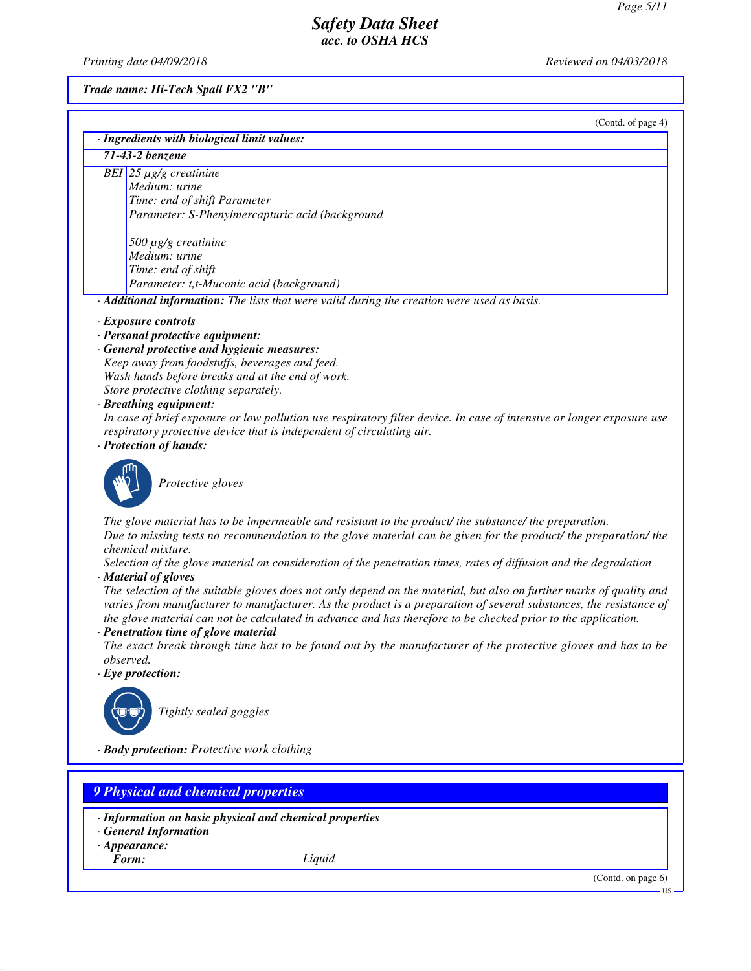*Printing date 04/09/2018 Reviewed on 04/03/2018*

*Trade name: Hi-Tech Spall FX2 "B"*

(Contd. of page 4)

| · Ingredients with biological limit values:                                                                                                                                                                                                                                                                                                                |
|------------------------------------------------------------------------------------------------------------------------------------------------------------------------------------------------------------------------------------------------------------------------------------------------------------------------------------------------------------|
| 71-43-2 benzene                                                                                                                                                                                                                                                                                                                                            |
| BEI 25 $\mu$ g/g creatinine<br>Medium: urine<br>Time: end of shift Parameter                                                                                                                                                                                                                                                                               |
| Parameter: S-Phenylmercapturic acid (background                                                                                                                                                                                                                                                                                                            |
| $500 \mu g/g$ creatinine<br>Medium: urine                                                                                                                                                                                                                                                                                                                  |
| Time: end of shift                                                                                                                                                                                                                                                                                                                                         |
| Parameter: t,t-Muconic acid (background)                                                                                                                                                                                                                                                                                                                   |
| · Additional information: The lists that were valid during the creation were used as basis.                                                                                                                                                                                                                                                                |
| · Exposure controls<br>· Personal protective equipment:                                                                                                                                                                                                                                                                                                    |
| · General protective and hygienic measures:                                                                                                                                                                                                                                                                                                                |
| Keep away from foodstuffs, beverages and feed.<br>Wash hands before breaks and at the end of work.                                                                                                                                                                                                                                                         |
| Store protective clothing separately.                                                                                                                                                                                                                                                                                                                      |
| · Breathing equipment:                                                                                                                                                                                                                                                                                                                                     |
| In case of brief exposure or low pollution use respiratory filter device. In case of intensive or longer exposure use                                                                                                                                                                                                                                      |
| respiratory protective device that is independent of circulating air.<br>· Protection of hands:                                                                                                                                                                                                                                                            |
| Protective gloves                                                                                                                                                                                                                                                                                                                                          |
| The glove material has to be impermeable and resistant to the product/ the substance/ the preparation.<br>Due to missing tests no recommendation to the glove material can be given for the product/ the preparation/ the<br>chemical mixture.                                                                                                             |
| Selection of the glove material on consideration of the penetration times, rates of diffusion and the degradation<br>· Material of gloves                                                                                                                                                                                                                  |
| The selection of the suitable gloves does not only depend on the material, but also on further marks of quality and<br>varies from manufacturer to manufacturer. As the product is a preparation of several substances, the resistance of<br>the glove material can not be calculated in advance and has therefore to be checked prior to the application. |
| · Penetration time of glove material                                                                                                                                                                                                                                                                                                                       |
| The exact break through time has to be found out by the manufacturer of the protective gloves and has to be<br>observed.                                                                                                                                                                                                                                   |
| $\cdot$ Eye protection:                                                                                                                                                                                                                                                                                                                                    |
|                                                                                                                                                                                                                                                                                                                                                            |
| Tightly sealed goggles                                                                                                                                                                                                                                                                                                                                     |
| · Body protection: Protective work clothing                                                                                                                                                                                                                                                                                                                |

# *9 Physical and chemical properties*

- *· Information on basic physical and chemical properties*
- *· General Information*
- *· Appearance:*<br>*Form:*
- 

*Form: Liquid*

(Contd. on page 6)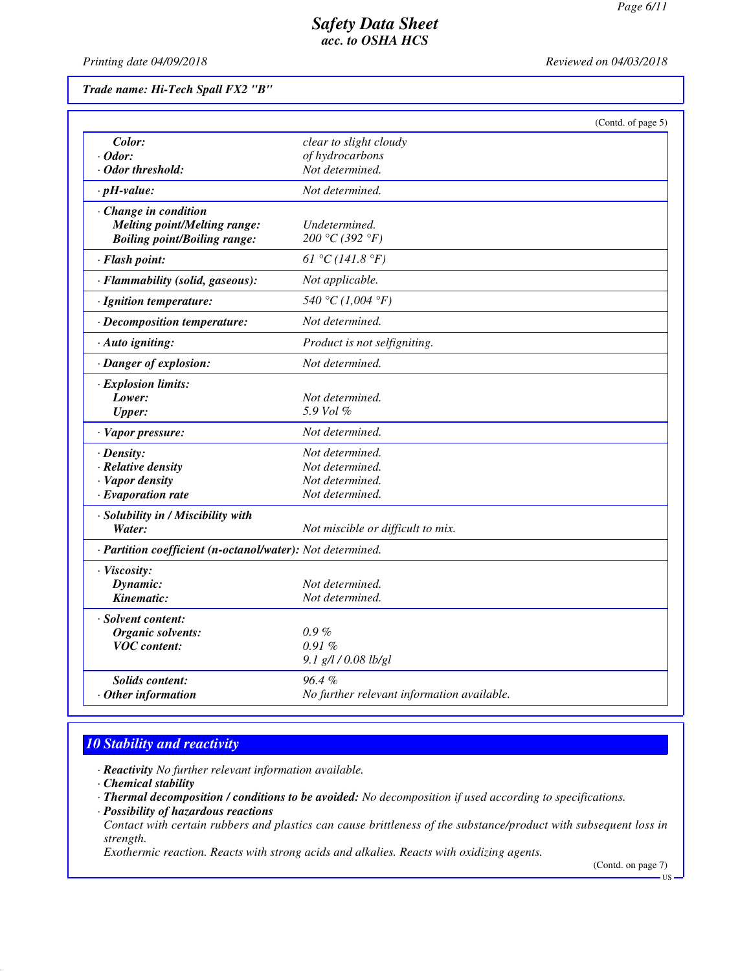*Printing date 04/09/2018 Reviewed on 04/03/2018*

*Trade name: Hi-Tech Spall FX2 "B"*

|                                                            | (Contd. of page 5)                         |  |
|------------------------------------------------------------|--------------------------------------------|--|
| Color:                                                     | clear to slight cloudy                     |  |
| $\cdot$ Odor:                                              | of hydrocarbons                            |  |
| · Odor threshold:                                          | Not determined.                            |  |
| $\cdot$ pH-value:                                          | Not determined.                            |  |
| Change in condition                                        |                                            |  |
| <b>Melting point/Melting range:</b>                        | Undetermined.                              |  |
| <b>Boiling point/Boiling range:</b>                        | 200 °C (392 °F)                            |  |
| · Flash point:                                             | 61 °C (141.8 °F)                           |  |
| · Flammability (solid, gaseous):                           | Not applicable.                            |  |
| · Ignition temperature:                                    | 540 °C (1,004 °F)                          |  |
| · Decomposition temperature:                               | Not determined.                            |  |
| · Auto igniting:                                           | Product is not selfigniting.               |  |
| · Danger of explosion:                                     | Not determined.                            |  |
| · Explosion limits:                                        |                                            |  |
| Lower:                                                     | Not determined.                            |  |
| <b>Upper:</b>                                              | 5.9 Vol $\%$                               |  |
| · Vapor pressure:                                          | Not determined.                            |  |
| $\cdot$ Density:                                           | Not determined.                            |  |
| · Relative density                                         | Not determined.                            |  |
| · Vapor density                                            | Not determined.                            |  |
| $\cdot$ Evaporation rate                                   | Not determined.                            |  |
| · Solubility in / Miscibility with                         |                                            |  |
| Water:                                                     | Not miscible or difficult to mix.          |  |
| · Partition coefficient (n-octanol/water): Not determined. |                                            |  |
| · Viscosity:                                               |                                            |  |
| Dynamic:                                                   | Not determined.                            |  |
| Kinematic:                                                 | Not determined.                            |  |
| · Solvent content:                                         |                                            |  |
| Organic solvents:                                          | $0.9\%$                                    |  |
| <b>VOC</b> content:                                        | 0.91%                                      |  |
|                                                            | 9.1 g/l / 0.08 lb/gl                       |  |
| <b>Solids content:</b>                                     | 96.4%                                      |  |
| $\cdot$ Other information                                  | No further relevant information available. |  |

# *10 Stability and reactivity*

*· Reactivity No further relevant information available.*

- *· Thermal decomposition / conditions to be avoided: No decomposition if used according to specifications.*
- *· Possibility of hazardous reactions*
- *Contact with certain rubbers and plastics can cause brittleness of the substance/product with subsequent loss in strength.*

*Exothermic reaction. Reacts with strong acids and alkalies. Reacts with oxidizing agents.*

(Contd. on page 7)

*<sup>·</sup> Chemical stability*

US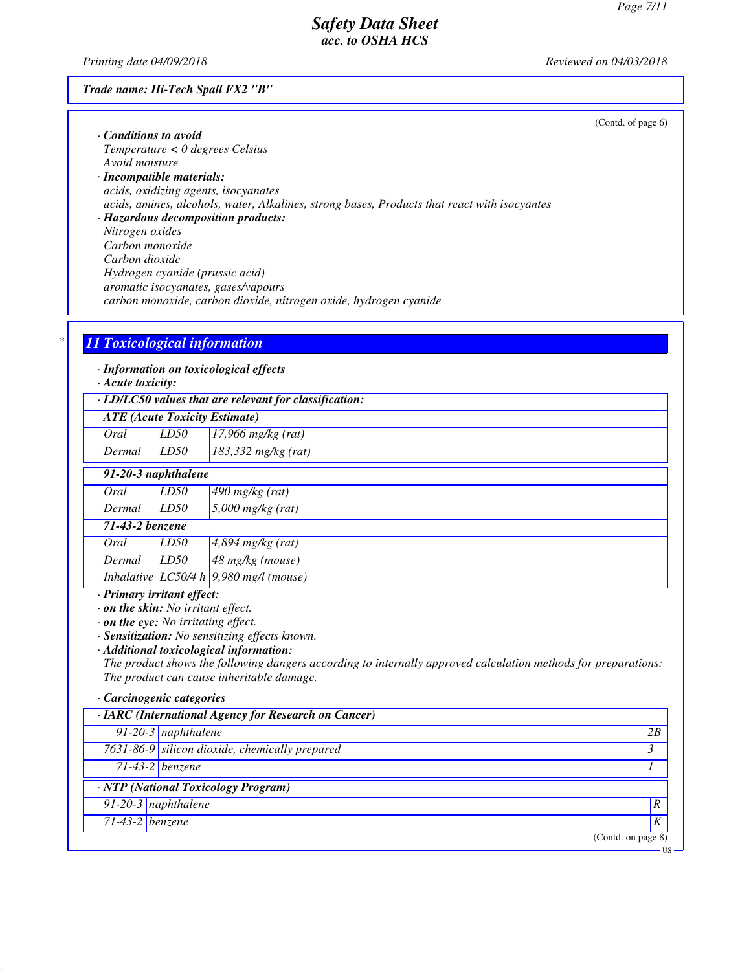*Printing date 04/09/2018 Reviewed on 04/03/2018*

### *Trade name: Hi-Tech Spall FX2 "B"*

|                                                                                              | (Contd. of page 6) |
|----------------------------------------------------------------------------------------------|--------------------|
| Conditions to avoid                                                                          |                    |
| $Temperature < 0$ degrees Celsius                                                            |                    |
| Avoid moisture                                                                               |                    |
| $\cdot$ Incompatible materials:                                                              |                    |
| acids, oxidizing agents, isocyanates                                                         |                    |
| acids, amines, alcohols, water, Alkalines, strong bases, Products that react with isocyantes |                    |
| · Hazardous decomposition products:                                                          |                    |
| Nitrogen oxides                                                                              |                    |
| Carbon monoxide                                                                              |                    |
| Carbon dioxide                                                                               |                    |
| Hydrogen cyanide (prussic acid)                                                              |                    |
| aromatic isocyanates, gases/vapours                                                          |                    |
| carbon monoxide, carbon dioxide, nitrogen oxide, hydrogen cyanide                            |                    |

# *\* 11 Toxicological information*

*· Information on toxicological effects*

*· Acute toxicity:*

| $\cdot$ LD/LC50 values that are relevant for classification: |  |
|--------------------------------------------------------------|--|
| <b>ATE</b> (Acute Toxicity Estimate)                         |  |

| Oral | LD50 | $17,966$ mg/kg (rat) |
|------|------|----------------------|

| 91-20-3 naphthalene |      |                    |
|---------------------|------|--------------------|
| Oral                | ID50 | $1490$ malka (rat) |

| <u>viu</u>      | ,,,,,,, | $\tau$ <sub>10</sub> $\eta$ <sub>8</sub> $\eta$ <sub>8</sub> $\eta$ |
|-----------------|---------|---------------------------------------------------------------------|
| Dermal          | LD50    | $5,000$ mg/kg (rat)                                                 |
| 71-43-2 benzene |         |                                                                     |
| Oral            | LD50    | $4,894$ mg/kg (rat)                                                 |
| Dermal          | LD50    | $48$ mg/kg (mouse)                                                  |
|                 |         | Inhalative LC50/4 h 9,980 mg/l (mouse)                              |

# *· Primary irritant effect:*

*· on the skin: No irritant effect.*

*· on the eye: No irritating effect.*

*· Sensitization: No sensitizing effects known.*

*· Additional toxicological information:*

*The product shows the following dangers according to internally approved calculation methods for preparations: The product can cause inheritable damage.*

#### *· Carcinogenic categories*

| · IARC (International Agency for Research on Cancer) |                                                |      |  |
|------------------------------------------------------|------------------------------------------------|------|--|
|                                                      | $91-20-3$ naphthalene                          | 2B   |  |
|                                                      | 7631-86-9 silicon dioxide, chemically prepared | 3    |  |
|                                                      | $71-43-2$ benzene                              |      |  |
|                                                      | · NTP (National Toxicology Program)            |      |  |
|                                                      | $91-20-3$ naphthalene                          | ١R   |  |
| $71-43-2$ benzene                                    |                                                | K    |  |
|                                                      | (Contd. on page 8)                             |      |  |
|                                                      |                                                | - US |  |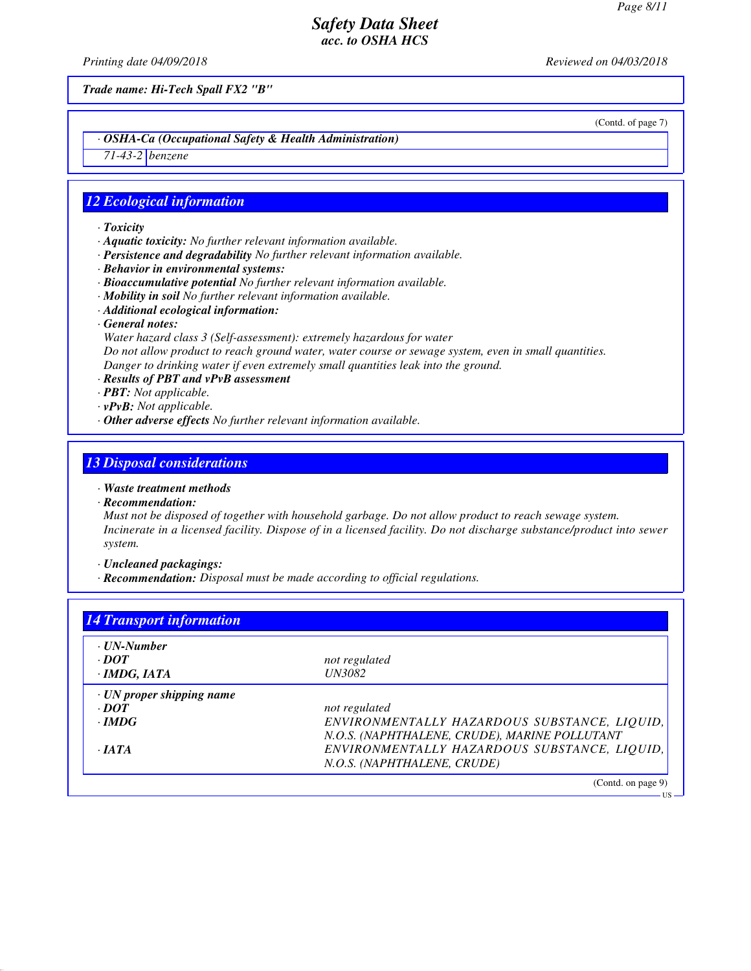*Printing date 04/09/2018 Reviewed on 04/03/2018*

*Trade name: Hi-Tech Spall FX2 "B"*

(Contd. of page 7)

US

### *· OSHA-Ca (Occupational Safety & Health Administration)*

*71-43-2 benzene*

### *12 Ecological information*

- *· Toxicity*
- *· Aquatic toxicity: No further relevant information available.*
- *· Persistence and degradability No further relevant information available.*
- *· Behavior in environmental systems:*
- *· Bioaccumulative potential No further relevant information available.*
- *· Mobility in soil No further relevant information available.*
- *· Additional ecological information:*
- *· General notes:*
- *Water hazard class 3 (Self-assessment): extremely hazardous for water*

*Do not allow product to reach ground water, water course or sewage system, even in small quantities. Danger to drinking water if even extremely small quantities leak into the ground.*

- *· Results of PBT and vPvB assessment*
- *· PBT: Not applicable.*
- *· vPvB: Not applicable.*
- *· Other adverse effects No further relevant information available.*

### *13 Disposal considerations*

- *· Waste treatment methods*
- *· Recommendation:*

*Must not be disposed of together with household garbage. Do not allow product to reach sewage system. Incinerate in a licensed facility. Dispose of in a licensed facility. Do not discharge substance/product into sewer system.*

*· Uncleaned packagings:*

*· Recommendation: Disposal must be made according to official regulations.*

| · UN-Number                     |                                               |
|---------------------------------|-----------------------------------------------|
| $\cdot$ <i>DOT</i>              | not regulated                                 |
| $\cdot$ IMDG, IATA              | <b>UN3082</b>                                 |
| $\cdot$ UN proper shipping name |                                               |
| $\cdot$ DOT                     | not regulated                                 |
| $\cdot$ IMDG                    | ENVIRONMENTALLY HAZARDOUS SUBSTANCE, LIQUID,  |
|                                 | N.O.S. (NAPHTHALENE, CRUDE), MARINE POLLUTANT |
| $\cdot$ JATA                    | ENVIRONMENTALLY HAZARDOUS SUBSTANCE, LIQUID,  |
|                                 | N.O.S. (NAPHTHALENE, CRUDE)                   |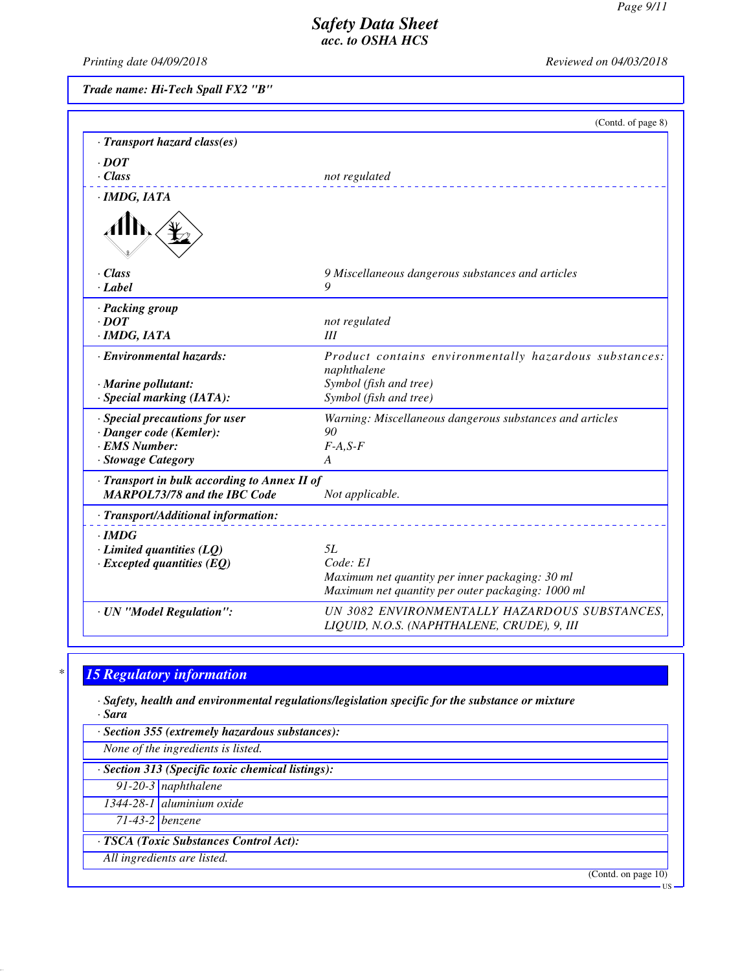*Printing date 04/09/2018 Reviewed on 04/03/2018*

*Trade name: Hi-Tech Spall FX2 "B"*

|                                                                                                       | (Contd. of page 8)                                                                                                     |
|-------------------------------------------------------------------------------------------------------|------------------------------------------------------------------------------------------------------------------------|
| · Transport hazard class(es)                                                                          |                                                                                                                        |
| $\cdot$ DOT<br>$\cdot$ Class                                                                          | not regulated                                                                                                          |
| · IMDG, IATA                                                                                          |                                                                                                                        |
|                                                                                                       |                                                                                                                        |
| $\cdot$ Class<br>$\cdot$ <i>Label</i>                                                                 | 9 Miscellaneous dangerous substances and articles<br>9                                                                 |
| · Packing group<br>$\cdot$ DOT<br>· IMDG, IATA                                                        | not regulated<br>III                                                                                                   |
| · Environmental hazards:                                                                              | Product contains environmentally hazardous substances:<br>naphthalene                                                  |
| $\cdot$ Marine pollutant:<br>· Special marking (IATA):                                                | Symbol (fish and tree)<br>Symbol (fish and tree)                                                                       |
| · Special precautions for user<br>· Danger code (Kemler):<br><b>EMS Number:</b><br>· Stowage Category | Warning: Miscellaneous dangerous substances and articles<br>90<br>$F-A, S-F$<br>A                                      |
| · Transport in bulk according to Annex II of<br><b>MARPOL73/78 and the IBC Code</b>                   | Not applicable.                                                                                                        |
| · Transport/Additional information:                                                                   |                                                                                                                        |
| $\cdot$ IMDG<br>$\cdot$ Limited quantities (LQ)<br>$\cdot$ Excepted quantities (EQ)                   | 5L<br>Code: El<br>Maximum net quantity per inner packaging: 30 ml<br>Maximum net quantity per outer packaging: 1000 ml |
| · UN "Model Regulation":                                                                              | UN 3082 ENVIRONMENTALLY HAZARDOUS SUBSTANCES,                                                                          |

*LIQUID, N.O.S. (NAPHTHALENE, CRUDE), 9, III*

# *\* 15 Regulatory information*

*· Safety, health and environmental regulations/legislation specific for the substance or mixture · Sara*

*· Section 355 (extremely hazardous substances):*

*None of the ingredients is listed.*

*· Section 313 (Specific toxic chemical listings):*

*91-20-3 naphthalene*

*1344-28-1 aluminium oxide*

*71-43-2 benzene*

*· TSCA (Toxic Substances Control Act):*

*All ingredients are listed.*

(Contd. on page 10)

US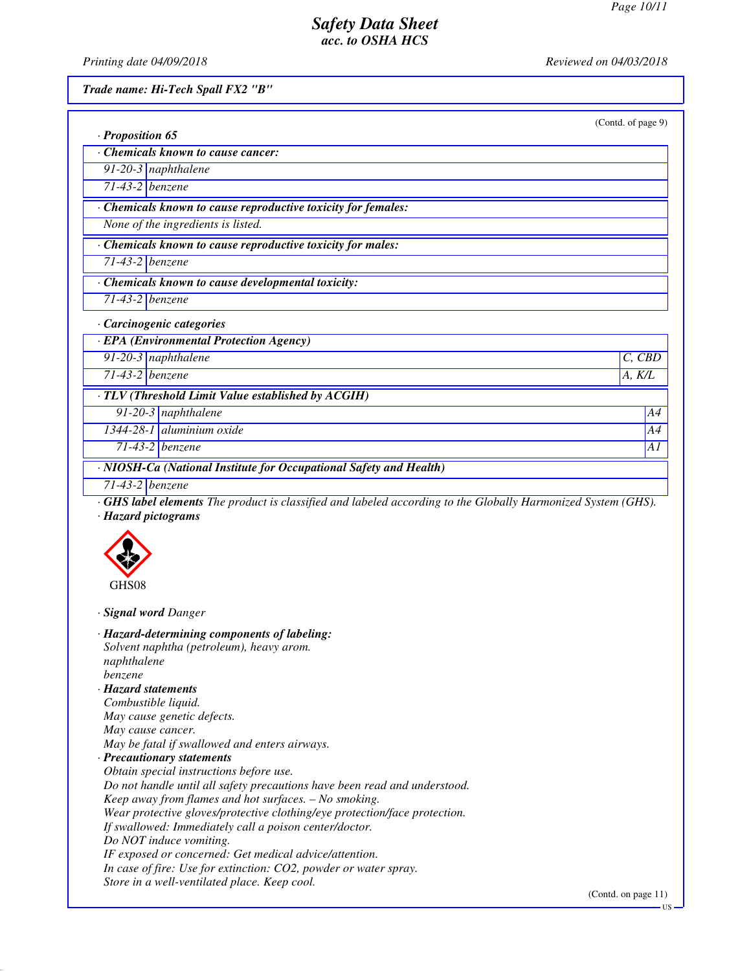*Printing date 04/09/2018 Reviewed on 04/03/2018*

*Trade name: Hi-Tech Spall FX2 "B"*

| · Proposition 65<br>Chemicals known to cause cancer:<br>91-20-3 naphthalene                                                                                                                                                                                                                                                                                                                                                                                                                                                                                                                                                                                                                                             |        |
|-------------------------------------------------------------------------------------------------------------------------------------------------------------------------------------------------------------------------------------------------------------------------------------------------------------------------------------------------------------------------------------------------------------------------------------------------------------------------------------------------------------------------------------------------------------------------------------------------------------------------------------------------------------------------------------------------------------------------|--------|
|                                                                                                                                                                                                                                                                                                                                                                                                                                                                                                                                                                                                                                                                                                                         |        |
|                                                                                                                                                                                                                                                                                                                                                                                                                                                                                                                                                                                                                                                                                                                         |        |
| $71-43-2$ benzene                                                                                                                                                                                                                                                                                                                                                                                                                                                                                                                                                                                                                                                                                                       |        |
| · Chemicals known to cause reproductive toxicity for females:                                                                                                                                                                                                                                                                                                                                                                                                                                                                                                                                                                                                                                                           |        |
| None of the ingredients is listed.                                                                                                                                                                                                                                                                                                                                                                                                                                                                                                                                                                                                                                                                                      |        |
|                                                                                                                                                                                                                                                                                                                                                                                                                                                                                                                                                                                                                                                                                                                         |        |
| Chemicals known to cause reproductive toxicity for males:                                                                                                                                                                                                                                                                                                                                                                                                                                                                                                                                                                                                                                                               |        |
| $71-43-2$ benzene                                                                                                                                                                                                                                                                                                                                                                                                                                                                                                                                                                                                                                                                                                       |        |
| · Chemicals known to cause developmental toxicity:                                                                                                                                                                                                                                                                                                                                                                                                                                                                                                                                                                                                                                                                      |        |
| $71-43-2$ benzene                                                                                                                                                                                                                                                                                                                                                                                                                                                                                                                                                                                                                                                                                                       |        |
| · Carcinogenic categories                                                                                                                                                                                                                                                                                                                                                                                                                                                                                                                                                                                                                                                                                               |        |
| · EPA (Environmental Protection Agency)                                                                                                                                                                                                                                                                                                                                                                                                                                                                                                                                                                                                                                                                                 |        |
| 91-20-3 naphthalene                                                                                                                                                                                                                                                                                                                                                                                                                                                                                                                                                                                                                                                                                                     | C, CBD |
| 71-43-2 benzene                                                                                                                                                                                                                                                                                                                                                                                                                                                                                                                                                                                                                                                                                                         | A, K/L |
| · TLV (Threshold Limit Value established by ACGIH)                                                                                                                                                                                                                                                                                                                                                                                                                                                                                                                                                                                                                                                                      |        |
| 91-20-3 naphthalene                                                                                                                                                                                                                                                                                                                                                                                                                                                                                                                                                                                                                                                                                                     | A4     |
| 1344-28-1 aluminium oxide                                                                                                                                                                                                                                                                                                                                                                                                                                                                                                                                                                                                                                                                                               | A4     |
| $71-43-2$ benzene                                                                                                                                                                                                                                                                                                                                                                                                                                                                                                                                                                                                                                                                                                       | A1     |
| · NIOSH-Ca (National Institute for Occupational Safety and Health)                                                                                                                                                                                                                                                                                                                                                                                                                                                                                                                                                                                                                                                      |        |
| $71-43-2$ benzene                                                                                                                                                                                                                                                                                                                                                                                                                                                                                                                                                                                                                                                                                                       |        |
| <b>GHS label elements</b> The product is classified and labeled according to the Globally Harmonized System (GHS).                                                                                                                                                                                                                                                                                                                                                                                                                                                                                                                                                                                                      |        |
| · Hazard pictograms                                                                                                                                                                                                                                                                                                                                                                                                                                                                                                                                                                                                                                                                                                     |        |
| GHS08                                                                                                                                                                                                                                                                                                                                                                                                                                                                                                                                                                                                                                                                                                                   |        |
| · Signal word Danger                                                                                                                                                                                                                                                                                                                                                                                                                                                                                                                                                                                                                                                                                                    |        |
| · Hazard-determining components of labeling:<br>Solvent naphtha (petroleum), heavy arom.<br>naphthalene<br><i>benzene</i><br>· Hazard statements<br>Combustible liquid.<br>May cause genetic defects.<br>May cause cancer.<br>May be fatal if swallowed and enters airways.<br>· Precautionary statements<br>Obtain special instructions before use.<br>Do not handle until all safety precautions have been read and understood.<br>Keep away from flames and hot surfaces. - No smoking.<br>Wear protective gloves/protective clothing/eye protection/face protection.<br>If swallowed: Immediately call a poison center/doctor.<br>Do NOT induce vomiting.<br>IF exposed or concerned: Get medical advice/attention. |        |

*Store in a well-ventilated place. Keep cool.*

(Contd. on page 11)